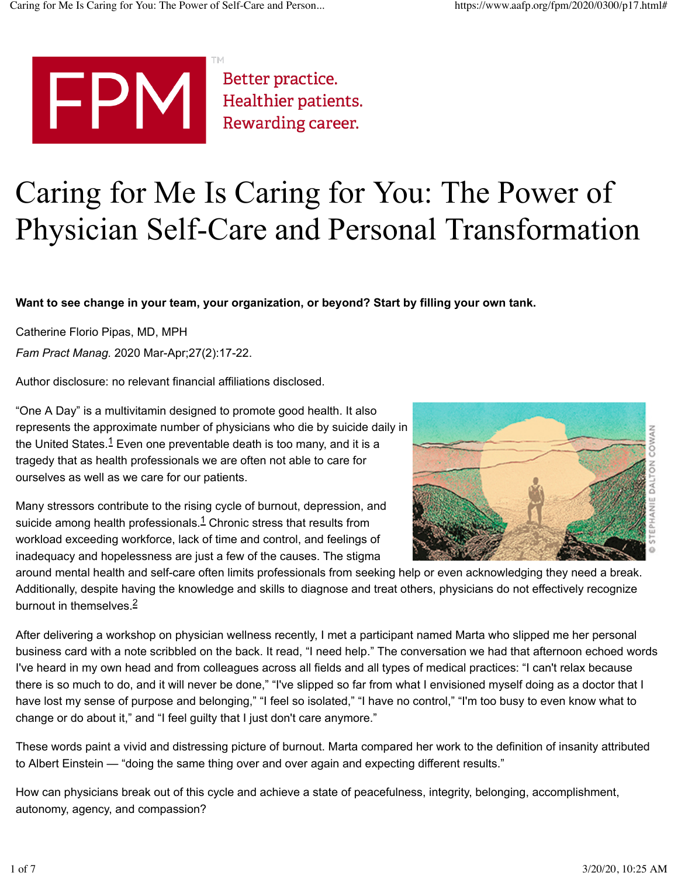

Better practice. Healthier patients. Rewarding career.

# Caring for Me Is Caring for You: The Power of Physician Self-Care and Personal Transformation

**Want to see change in your team, your organization, or beyond? Start by filling your own tank.**

Catherine Florio Pipas, MD, MPH

*Fam Pract Manag.* 2020 Mar-Apr;27(2):17-22.

Author disclosure: no relevant financial affiliations disclosed.

"One A Day" is a multivitamin designed to promote good health. It also represents the approximate number of physicians who die by suicide daily in the United States.<sup>1</sup> Even one preventable death is too many, and it is a tragedy that as health professionals we are often not able to care for ourselves as well as we care for our patients.

Many stressors contribute to the rising cycle of burnout, depression, and suicide among health professionals. $1$  Chronic stress that results from workload exceeding workforce, lack of time and control, and feelings of inadequacy and hopelessness are just a few of the causes. The stigma



around mental health and self-care often limits professionals from seeking help or even acknowledging they need a break. Additionally, despite having the knowledge and skills to diagnose and treat others, physicians do not effectively recognize burnout in themselves 2

After delivering a workshop on physician wellness recently, I met a participant named Marta who slipped me her personal business card with a note scribbled on the back. It read, "I need help." The conversation we had that afternoon echoed words I've heard in my own head and from colleagues across all fields and all types of medical practices: "I can't relax because there is so much to do, and it will never be done," "I've slipped so far from what I envisioned myself doing as a doctor that I have lost my sense of purpose and belonging," "I feel so isolated," "I have no control," "I'm too busy to even know what to change or do about it," and "I feel guilty that I just don't care anymore."

These words paint a vivid and distressing picture of burnout. Marta compared her work to the definition of insanity attributed to Albert Einstein — "doing the same thing over and over again and expecting different results."

How can physicians break out of this cycle and achieve a state of peacefulness, integrity, belonging, accomplishment, autonomy, agency, and compassion?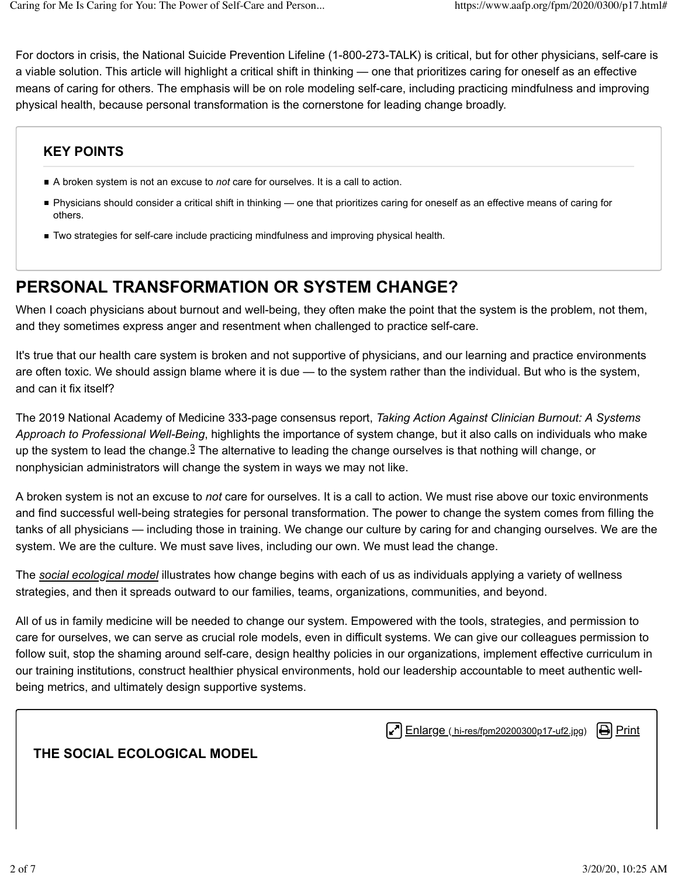For doctors in crisis, the National Suicide Prevention Lifeline (1-800-273-TALK) is critical, but for other physicians, self-care is a viable solution. This article will highlight a critical shift in thinking — one that prioritizes caring for oneself as an effective means of caring for others. The emphasis will be on role modeling self-care, including practicing mindfulness and improving physical health, because personal transformation is the cornerstone for leading change broadly.

## **KEY POINTS**

- A broken system is not an excuse to *not* care for ourselves. It is a call to action.
- Physicians should consider a critical shift in thinking one that prioritizes caring for oneself as an effective means of caring for others.
- Two strategies for self-care include practicing mindfulness and improving physical health.

# **PERSONAL TRANSFORMATION OR SYSTEM CHANGE?**

When I coach physicians about burnout and well-being, they often make the point that the system is the problem, not them, and they sometimes express anger and resentment when challenged to practice self-care.

It's true that our health care system is broken and not supportive of physicians, and our learning and practice environments are often toxic. We should assign blame where it is due — to the system rather than the individual. But who is the system, and can it fix itself?

The 2019 National Academy of Medicine 333-page consensus report, *Taking Action Against Clinician Burnout: A Systems Approach to Professional Well-Being*, highlights the importance of system change, but it also calls on individuals who make up the system to lead the change. $3$  The alternative to leading the change ourselves is that nothing will change, or nonphysician administrators will change the system in ways we may not like.

A broken system is not an excuse to *not* care for ourselves. It is a call to action. We must rise above our toxic environments and find successful well-being strategies for personal transformation. The power to change the system comes from filling the tanks of all physicians — including those in training. We change our culture by caring for and changing ourselves. We are the system. We are the culture. We must save lives, including our own. We must lead the change.

The *social ecological model* illustrates how change begins with each of us as individuals applying a variety of wellness strategies, and then it spreads outward to our families, teams, organizations, communities, and beyond.

All of us in family medicine will be needed to change our system. Empowered with the tools, strategies, and permission to care for ourselves, we can serve as crucial role models, even in difficult systems. We can give our colleagues permission to follow suit, stop the shaming around self-care, design healthy policies in our organizations, implement effective curriculum in our training institutions, construct healthier physical environments, hold our leadership accountable to meet authentic wellbeing metrics, and ultimately design supportive systems.

 $\left| \right|$  Enlarge ( hi-res/fpm20200300p17-uf2.jpg)  $\left| \right|$  Print

**THE SOCIAL ECOLOGICAL MODEL**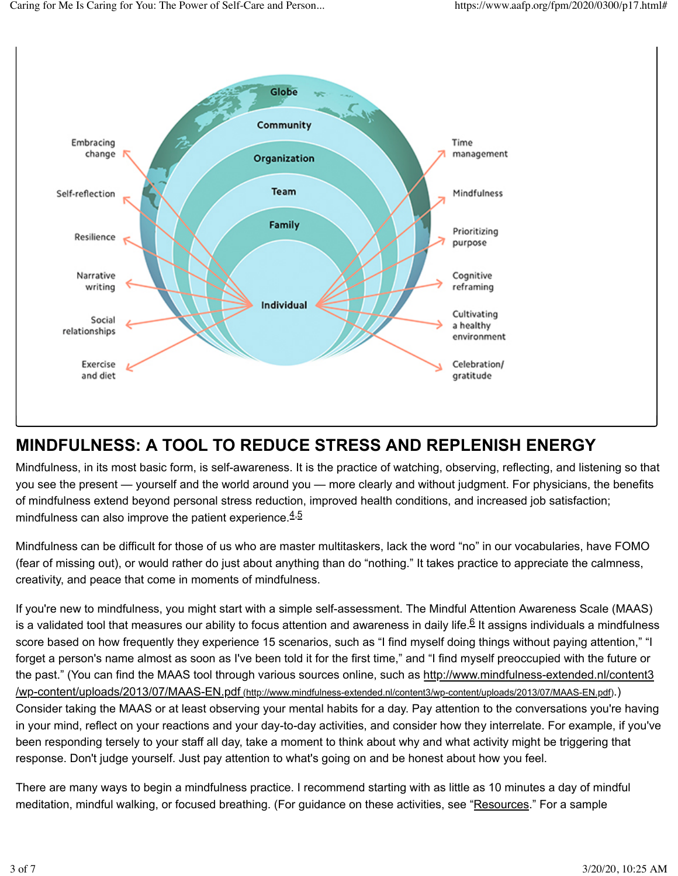

# **MINDFULNESS: A TOOL TO REDUCE STRESS AND REPLENISH ENERGY**

Mindfulness, in its most basic form, is self-awareness. It is the practice of watching, observing, reflecting, and listening so that you see the present — yourself and the world around you — more clearly and without judgment. For physicians, the benefits of mindfulness extend beyond personal stress reduction, improved health conditions, and increased job satisfaction; mindfulness can also improve the patient experience.  $4.5$ 

Mindfulness can be difficult for those of us who are master multitaskers, lack the word "no" in our vocabularies, have FOMO (fear of missing out), or would rather do just about anything than do "nothing." It takes practice to appreciate the calmness, creativity, and peace that come in moments of mindfulness.

If you're new to mindfulness, you might start with a simple self-assessment. The Mindful Attention Awareness Scale (MAAS) is a validated tool that measures our ability to focus attention and awareness in daily life.<sup>6</sup> It assigns individuals a mindfulness score based on how frequently they experience 15 scenarios, such as "I find myself doing things without paying attention," "I forget a person's name almost as soon as I've been told it for the first time," and "I find myself preoccupied with the future or the past." (You can find the MAAS tool through various sources online, such as http://www.mindfulness-extended.nl/content3 /wp-content/uploads/2013/07/MAAS-EN.pdf (http://www.mindfulness-extended.nl/content3/wp-content/uploads/2013/07/MAAS-EN.pdf).) Consider taking the MAAS or at least observing your mental habits for a day. Pay attention to the conversations you're having in your mind, reflect on your reactions and your day-to-day activities, and consider how they interrelate. For example, if you've been responding tersely to your staff all day, take a moment to think about why and what activity might be triggering that response. Don't judge yourself. Just pay attention to what's going on and be honest about how you feel.

There are many ways to begin a mindfulness practice. I recommend starting with as little as 10 minutes a day of mindful meditation, mindful walking, or focused breathing. (For guidance on these activities, see "Resources." For a sample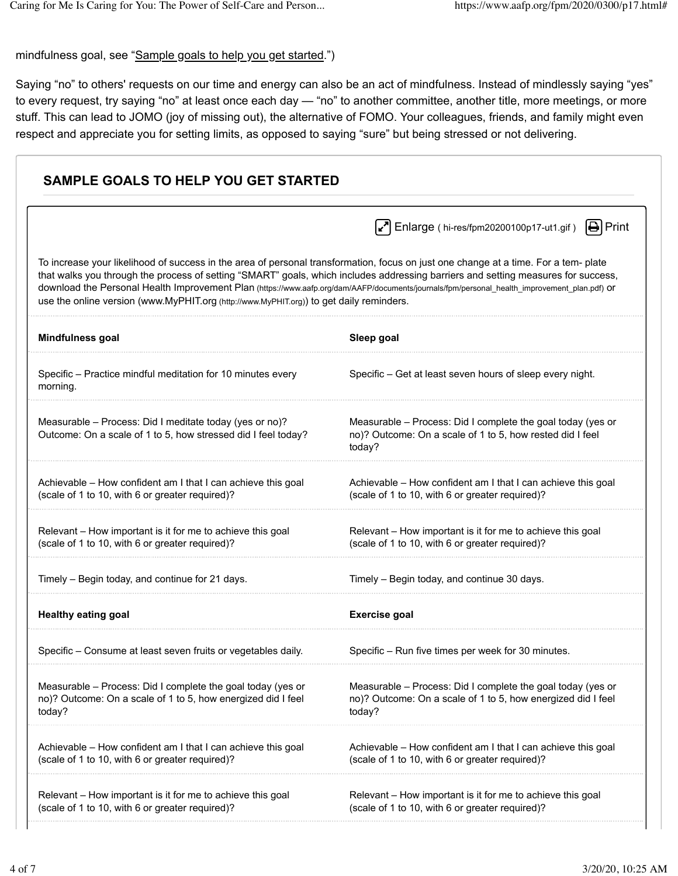mindfulness goal, see "Sample goals to help you get started.")

Saying "no" to others' requests on our time and energy can also be an act of mindfulness. Instead of mindlessly saying "yes" to every request, try saying "no" at least once each day — "no" to another committee, another title, more meetings, or more stuff. This can lead to JOMO (joy of missing out), the alternative of FOMO. Your colleagues, friends, and family might even respect and appreciate you for setting limits, as opposed to saying "sure" but being stressed or not delivering.

|                                                                                                                                                                                                                                                                                                                                                                                                                                                                                                                     | $\bigoplus$ Print<br>$\left[\mathbf{x}^{\prime}\right]$ Enlarge (hi-res/fpm20200100p17-ut1.gif)                                       |
|---------------------------------------------------------------------------------------------------------------------------------------------------------------------------------------------------------------------------------------------------------------------------------------------------------------------------------------------------------------------------------------------------------------------------------------------------------------------------------------------------------------------|---------------------------------------------------------------------------------------------------------------------------------------|
| To increase your likelihood of success in the area of personal transformation, focus on just one change at a time. For a tem- plate<br>that walks you through the process of setting "SMART" goals, which includes addressing barriers and setting measures for success,<br>download the Personal Health Improvement Plan (https://www.aafp.org/dam/AAFP/documents/journals/fpm/personal_health_improvement_plan.pdf) Or<br>use the online version (www.MyPHIT.org (http://www.MyPHIT.org)) to get daily reminders. |                                                                                                                                       |
| Mindfulness goal                                                                                                                                                                                                                                                                                                                                                                                                                                                                                                    | Sleep goal                                                                                                                            |
| Specific - Practice mindful meditation for 10 minutes every<br>morning.                                                                                                                                                                                                                                                                                                                                                                                                                                             | Specific - Get at least seven hours of sleep every night.                                                                             |
| Measurable - Process: Did I meditate today (yes or no)?<br>Outcome: On a scale of 1 to 5, how stressed did I feel today?                                                                                                                                                                                                                                                                                                                                                                                            | Measurable - Process: Did I complete the goal today (yes or<br>no)? Outcome: On a scale of 1 to 5, how rested did I feel<br>today?    |
| Achievable - How confident am I that I can achieve this goal<br>(scale of 1 to 10, with 6 or greater required)?                                                                                                                                                                                                                                                                                                                                                                                                     | Achievable - How confident am I that I can achieve this goal<br>(scale of 1 to 10, with 6 or greater required)?                       |
| Relevant - How important is it for me to achieve this goal<br>(scale of 1 to 10, with 6 or greater required)?                                                                                                                                                                                                                                                                                                                                                                                                       | Relevant - How important is it for me to achieve this goal<br>(scale of 1 to 10, with 6 or greater required)?                         |
| Timely - Begin today, and continue for 21 days.                                                                                                                                                                                                                                                                                                                                                                                                                                                                     | Timely - Begin today, and continue 30 days.                                                                                           |
| <b>Healthy eating goal</b>                                                                                                                                                                                                                                                                                                                                                                                                                                                                                          | <b>Exercise goal</b>                                                                                                                  |
| Specific – Consume at least seven fruits or vegetables daily.                                                                                                                                                                                                                                                                                                                                                                                                                                                       | Specific – Run five times per week for 30 minutes.                                                                                    |
| Measurable - Process: Did I complete the goal today (yes or<br>no)? Outcome: On a scale of 1 to 5, how energized did I feel<br>today?                                                                                                                                                                                                                                                                                                                                                                               | Measurable - Process: Did I complete the goal today (yes or<br>no)? Outcome: On a scale of 1 to 5, how energized did I feel<br>today? |
| Achievable - How confident am I that I can achieve this goal<br>(scale of 1 to 10, with 6 or greater required)?                                                                                                                                                                                                                                                                                                                                                                                                     | Achievable - How confident am I that I can achieve this goal<br>(scale of 1 to 10, with 6 or greater required)?                       |
| Relevant - How important is it for me to achieve this goal<br>(scale of 1 to 10, with 6 or greater required)?                                                                                                                                                                                                                                                                                                                                                                                                       | Relevant - How important is it for me to achieve this goal<br>(scale of 1 to 10, with 6 or greater required)?                         |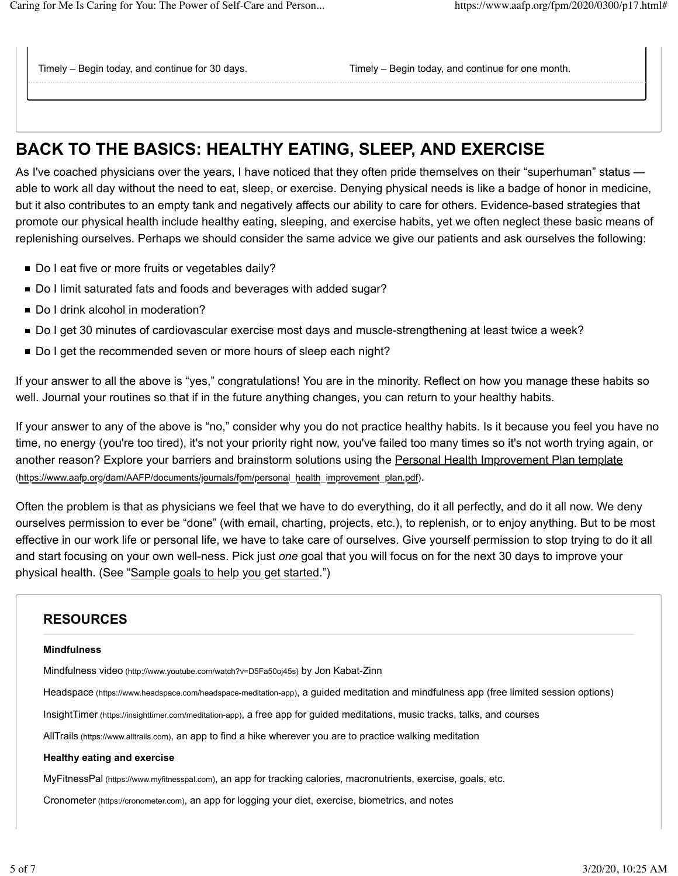Timely – Begin today, and continue for 30 days. Timely – Begin today, and continue for one month.

# **BACK TO THE BASICS: HEALTHY EATING, SLEEP, AND EXERCISE**

As I've coached physicians over the years, I have noticed that they often pride themselves on their "superhuman" status able to work all day without the need to eat, sleep, or exercise. Denying physical needs is like a badge of honor in medicine, but it also contributes to an empty tank and negatively affects our ability to care for others. Evidence-based strategies that promote our physical health include healthy eating, sleeping, and exercise habits, yet we often neglect these basic means of replenishing ourselves. Perhaps we should consider the same advice we give our patients and ask ourselves the following:

- Do I eat five or more fruits or vegetables daily?
- Do I limit saturated fats and foods and beverages with added sugar?
- Do I drink alcohol in moderation?
- Do I get 30 minutes of cardiovascular exercise most days and muscle-strengthening at least twice a week?
- Do I get the recommended seven or more hours of sleep each night?

If your answer to all the above is "yes," congratulations! You are in the minority. Reflect on how you manage these habits so well. Journal your routines so that if in the future anything changes, you can return to your healthy habits.

If your answer to any of the above is "no," consider why you do not practice healthy habits. Is it because you feel you have no time, no energy (you're too tired), it's not your priority right now, you've failed too many times so it's not worth trying again, or another reason? Explore your barriers and brainstorm solutions using the Personal Health Improvement Plan template (https://www.aafp.org/dam/AAFP/documents/journals/fpm/personal\_health\_improvement\_plan.pdf).

Often the problem is that as physicians we feel that we have to do everything, do it all perfectly, and do it all now. We deny ourselves permission to ever be "done" (with email, charting, projects, etc.), to replenish, or to enjoy anything. But to be most effective in our work life or personal life, we have to take care of ourselves. Give yourself permission to stop trying to do it all and start focusing on your own well-ness. Pick just *one* goal that you will focus on for the next 30 days to improve your physical health. (See "Sample goals to help you get started.")

## **RESOURCES**

#### **Mindfulness**

Mindfulness video (http://www.youtube.com/watch?v=D5Fa50oj45s) by Jon Kabat-Zinn

Headspace (https://www.headspace.com/headspace-meditation-app), a guided meditation and mindfulness app (free limited session options)

InsightTimer (https://insighttimer.com/meditation-app), a free app for guided meditations, music tracks, talks, and courses

AllTrails (https://www.alltrails.com), an app to find a hike wherever you are to practice walking meditation

#### **Healthy eating and exercise**

MyFitnessPal (https://www.myfitnesspal.com), an app for tracking calories, macronutrients, exercise, goals, etc.

Cronometer (https://cronometer.com), an app for logging your diet, exercise, biometrics, and notes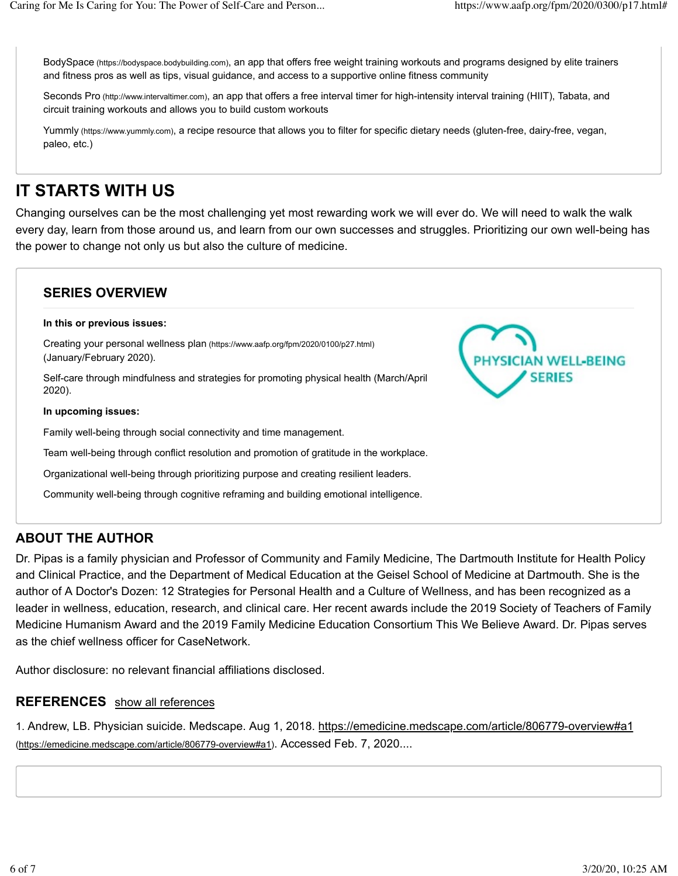BodySpace (https://bodyspace.bodybuilding.com), an app that offers free weight training workouts and programs designed by elite trainers and fitness pros as well as tips, visual guidance, and access to a supportive online fitness community

Seconds Pro (http://www.intervaltimer.com), an app that offers a free interval timer for high-intensity interval training (HIIT), Tabata, and circuit training workouts and allows you to build custom workouts

Yummly (https://www.yummly.com), a recipe resource that allows you to filter for specific dietary needs (gluten-free, dairy-free, vegan, paleo, etc.)

## **IT STARTS WITH US**

Changing ourselves can be the most challenging yet most rewarding work we will ever do. We will need to walk the walk every day, learn from those around us, and learn from our own successes and struggles. Prioritizing our own well-being has the power to change not only us but also the culture of medicine.

## **SERIES OVERVIEW In this or previous issues:** Creating your personal wellness plan (https://www.aafp.org/fpm/2020/0100/p27.html) (January/February 2020). SICIAN WELL-BEING **SERIES** Self-care through mindfulness and strategies for promoting physical health (March/April 2020). **In upcoming issues:** Family well-being through social connectivity and time management. Team well-being through conflict resolution and promotion of gratitude in the workplace. Organizational well-being through prioritizing purpose and creating resilient leaders. Community well-being through cognitive reframing and building emotional intelligence.

## **ABOUT THE AUTHOR**

Dr. Pipas is a family physician and Professor of Community and Family Medicine, The Dartmouth Institute for Health Policy and Clinical Practice, and the Department of Medical Education at the Geisel School of Medicine at Dartmouth. She is the author of A Doctor's Dozen: 12 Strategies for Personal Health and a Culture of Wellness, and has been recognized as a leader in wellness, education, research, and clinical care. Her recent awards include the 2019 Society of Teachers of Family Medicine Humanism Award and the 2019 Family Medicine Education Consortium This We Believe Award. Dr. Pipas serves as the chief wellness officer for CaseNetwork.

Author disclosure: no relevant financial affiliations disclosed.

### **REFERENCES** show all references

1. Andrew, LB. Physician suicide. Medscape. Aug 1, 2018. https://emedicine.medscape.com/article/806779-overview#a1 (https://emedicine.medscape.com/article/806779-overview#a1). Accessed Feb. 7, 2020....